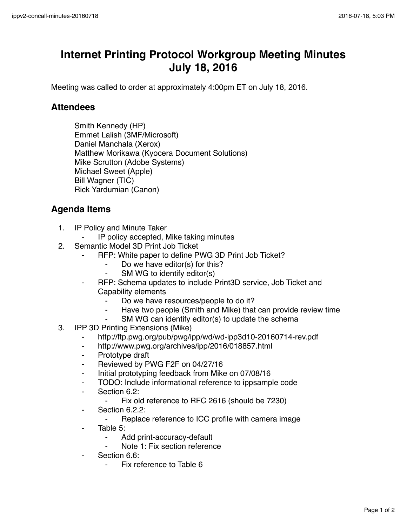## **Internet Printing Protocol Workgroup Meeting Minutes July 18, 2016**

Meeting was called to order at approximately 4:00pm ET on July 18, 2016.

## **Attendees**

Smith Kennedy (HP) Emmet Lalish (3MF/Microsoft) Daniel Manchala (Xerox) Matthew Morikawa (Kyocera Document Solutions) Mike Scrutton (Adobe Systems) Michael Sweet (Apple) Bill Wagner (TIC) Rick Yardumian (Canon)

## **Agenda Items**

- 1. IP Policy and Minute Taker
	- IP policy accepted, Mike taking minutes
- 2. Semantic Model 3D Print Job Ticket
	- ⁃ RFP: White paper to define PWG 3D Print Job Ticket?
		- ⁃ Do we have editor(s) for this?
		- SM WG to identify editor(s)
	- ⁃ RFP: Schema updates to include Print3D service, Job Ticket and Capability elements
		- Do we have resources/people to do it?
		- ⁃ Have two people (Smith and Mike) that can provide review time
		- SM WG can identify editor(s) to update the schema
- 3. IPP 3D Printing Extensions (Mike)
	- ⁃ http://ftp.pwg.org/pub/pwg/ipp/wd/wd-ipp3d10-20160714-rev.pdf
	- ⁃ http://www.pwg.org/archives/ipp/2016/018857.html
	- ⁃ Prototype draft
	- Reviewed by PWG F2F on 04/27/16
	- ⁃ Initial prototyping feedback from Mike on 07/08/16
	- ⁃ TODO: Include informational reference to ippsample code
	- Section 6.2:
		- Fix old reference to RFC 2616 (should be 7230)
	- ⁃ Section 6.2.2:
		- ⁃ Replace reference to ICC profile with camera image
	- Table 5:
		- Add print-accuracy-default
		- Note 1: Fix section reference
	- Section 6.6:
		- Fix reference to Table 6